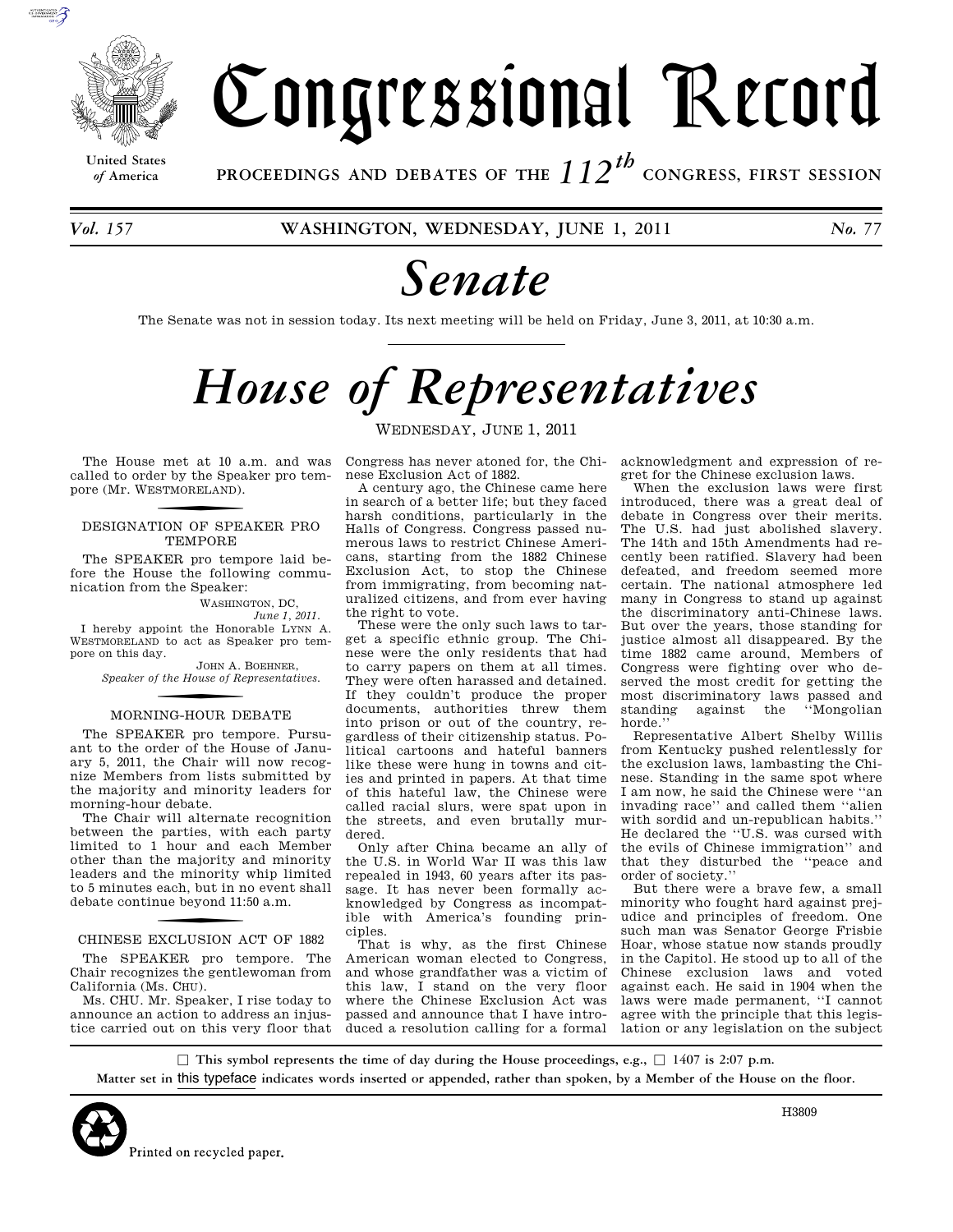

**United States**

Congressional Record

*of* **America PROCEEDINGS AND DEBATES OF THE** *112th*  **CONGRESS, FIRST SESSION**

*Vol. 157* **WASHINGTON, WEDNESDAY, JUNE 1, 2011** *No. 77* 

## *Senate*

The Senate was not in session today. Its next meeting will be held on Friday, June 3, 2011, at 10:30 a.m.

# *House of Representatives*

The House met at 10 a.m. and was called to order by the Speaker pro tempore (Mr. WESTMORELAND ).

#### f DESIGNATION OF SPEAKER PRO **TEMPORE**

The SPEAKER pro tempore laid before the House the following communication from the Speaker:

> WASHINGTON, DC, *June 1, 2011.*

I hereby appoint the Honorable LYNN A. WESTMORELAND to act as Speaker pro tempore on this day.

JOHN A. BOEHNER, *Speaker of the House of Representatives.* 

## f MORNING-HOUR DEBATE

The SPEAKER pro tempore. Pursuant to the order of the House of January 5, 2011, the Chair will now recognize Members from lists submitted by the majority and minority leaders for morning-hour debate.

The Chair will alternate recognition between the parties, with each party limited to 1 hour and each Member other than the majority and minority leaders and the minority whip limited to 5 minutes each, but in no event shall debate continue beyond 11:50 a.m.

## CHINESE EXCLUSION ACT OF 1882

The SPEAKER pro tempore. The Chair recognizes the gentlewoman from California (Ms. CHU).

Ms. CHU. Mr. Speaker, I rise today to announce an action to address an injustice carried out on this very floor that WEDNESDAY, JUNE 1, 2011

Congress has never atoned for, the Chinese Exclusion Act of 1882.

A century ago, the Chinese came here in search of a better life; but they faced harsh conditions, particularly in the Halls of Congress. Congress passed numerous laws to restrict Chinese Americans, starting from the 1882 Chinese Exclusion Act, to stop the Chinese from immigrating, from becoming naturalized citizens, and from ever having the right to vote.

These were the only such laws to target a specific ethnic group. The Chinese were the only residents that had to carry papers on them at all times. They were often harassed and detained. If they couldn't produce the proper documents, authorities threw them into prison or out of the country, regardless of their citizenship status. Political cartoons and hateful banners like these were hung in towns and cities and printed in papers. At that time of this hateful law, the Chinese were called racial slurs, were spat upon in the streets, and even brutally murdered.

Only after China became an ally of the U.S. in World War II was this law repealed in 1943, 60 years after its passage. It has never been formally acknowledged by Congress as incompatible with America's founding principles.

That is why, as the first Chinese American woman elected to Congress, and whose grandfather was a victim of this law, I stand on the very floor where the Chinese Exclusion Act was passed and announce that I have introduced a resolution calling for a formal acknowledgment and expression of regret for the Chinese exclusion laws.

When the exclusion laws were first introduced, there was a great deal of debate in Congress over their merits. The U.S. had just abolished slavery. The 14th and 15th Amendments had recently been ratified. Slavery had been defeated, and freedom seemed more certain. The national atmosphere led many in Congress to stand up against the discriminatory anti-Chinese laws. But over the years, those standing for justice almost all disappeared. By the time 1882 came around, Members of Congress were fighting over who deserved the most credit for getting the most discriminatory laws passed and<br>standing against the "Mongolian against the "Mongolian horde.''

Representative Albert Shelby Willis from Kentucky pushed relentlessly for the exclusion laws, lambasting the Chinese. Standing in the same spot where I am now, he said the Chinese were ''an invading race'' and called them ''alien with sordid and un-republican habits.'' He declared the ''U.S. was cursed with the evils of Chinese immigration'' and that they disturbed the ''peace and order of society.''

But there were a brave few, a small minority who fought hard against prejudice and principles of freedom. One such man was Senator George Frisbie Hoar, whose statue now stands proudly in the Capitol. He stood up to all of the Chinese exclusion laws and voted against each. He said in 1904 when the laws were made permanent, ''I cannot agree with the principle that this legislation or any legislation on the subject

b **This symbol represents the time of day during the House proceedings, e.g.,** b **1407 is 2:07 p.m. Matter set in** this typeface **indicates words inserted or appended, rather than spoken, by a Member of the House on the floor.**



H3809